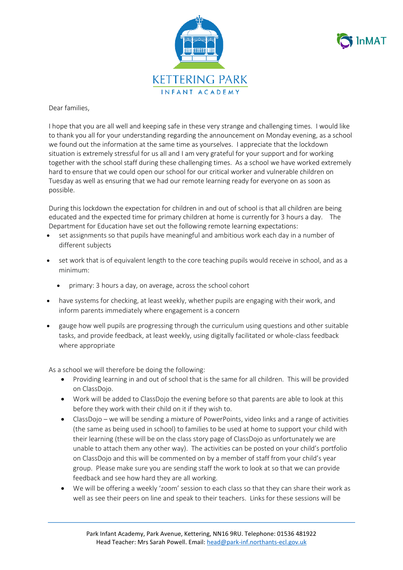



Dear families,

I hope that you are all well and keeping safe in these very strange and challenging times. I would like to thank you all for your understanding regarding the announcement on Monday evening, as a school we found out the information at the same time as yourselves. I appreciate that the lockdown situation is extremely stressful for us all and I am very grateful for your support and for working together with the school staff during these challenging times. As a school we have worked extremely hard to ensure that we could open our school for our critical worker and vulnerable children on Tuesday as well as ensuring that we had our remote learning ready for everyone on as soon as possible.

During this lockdown the expectation for children in and out of school is that all children are being educated and the expected time for primary children at home is currently for 3 hours a day. The Department for Education have set out the following remote learning expectations:

- set assignments so that pupils have meaningful and ambitious work each day in a number of different subjects
- set work that is of equivalent length to the core teaching pupils would receive in school, and as a minimum:
	- primary: 3 hours a day, on average, across the school cohort
- have systems for checking, at least weekly, whether pupils are engaging with their work, and inform parents immediately where engagement is a concern
- gauge how well pupils are progressing through the curriculum using questions and other suitable tasks, and provide feedback, at least weekly, using digitally facilitated or whole-class feedback where appropriate

As a school we will therefore be doing the following:

- Providing learning in and out of school that is the same for all children. This will be provided on ClassDojo.
- Work will be added to ClassDojo the evening before so that parents are able to look at this before they work with their child on it if they wish to.
- ClassDojo we will be sending a mixture of PowerPoints, video links and a range of activities (the same as being used in school) to families to be used at home to support your child with their learning (these will be on the class story page of ClassDojo as unfortunately we are unable to attach them any other way). The activities can be posted on your child's portfolio on ClassDojo and this will be commented on by a member of staff from your child's year group. Please make sure you are sending staff the work to look at so that we can provide feedback and see how hard they are all working.
- We will be offering a weekly 'zoom' session to each class so that they can share their work as well as see their peers on line and speak to their teachers. Links for these sessions will be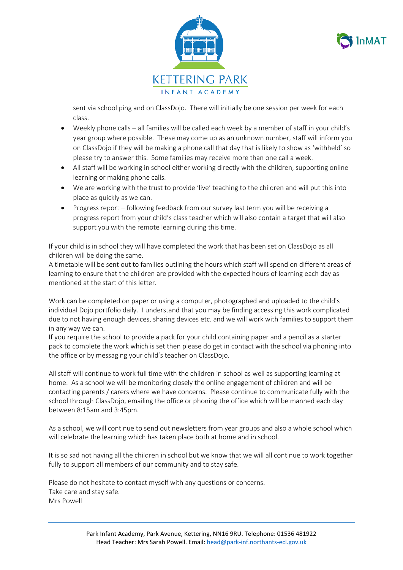



sent via school ping and on ClassDojo. There will initially be one session per week for each class.

- Weekly phone calls all families will be called each week by a member of staff in your child's year group where possible. These may come up as an unknown number, staff will inform you on ClassDojo if they will be making a phone call that day that is likely to show as 'withheld' so please try to answer this. Some families may receive more than one call a week.
- All staff will be working in school either working directly with the children, supporting online learning or making phone calls.
- We are working with the trust to provide 'live' teaching to the children and will put this into place as quickly as we can.
- Progress report following feedback from our survey last term you will be receiving a progress report from your child's class teacher which will also contain a target that will also support you with the remote learning during this time.

If your child is in school they will have completed the work that has been set on ClassDojo as all children will be doing the same.

A timetable will be sent out to families outlining the hours which staff will spend on different areas of learning to ensure that the children are provided with the expected hours of learning each day as mentioned at the start of this letter.

Work can be completed on paper or using a computer, photographed and uploaded to the child's individual Dojo portfolio daily. I understand that you may be finding accessing this work complicated due to not having enough devices, sharing devices etc. and we will work with families to support them in any way we can.

If you require the school to provide a pack for your child containing paper and a pencil as a starter pack to complete the work which is set then please do get in contact with the school via phoning into the office or by messaging your child's teacher on ClassDojo.

All staff will continue to work full time with the children in school as well as supporting learning at home. As a school we will be monitoring closely the online engagement of children and will be contacting parents / carers where we have concerns. Please continue to communicate fully with the school through ClassDojo, emailing the office or phoning the office which will be manned each day between 8:15am and 3:45pm.

As a school, we will continue to send out newsletters from year groups and also a whole school which will celebrate the learning which has taken place both at home and in school.

It is so sad not having all the children in school but we know that we will all continue to work together fully to support all members of our community and to stay safe.

Please do not hesitate to contact myself with any questions or concerns. Take care and stay safe. Mrs Powell